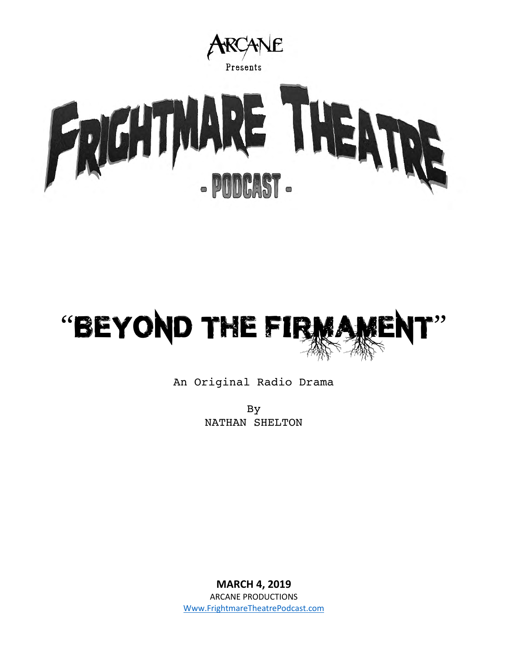



## An Original Radio Drama

By NATHAN SHELTON

**MARCH 4, 2019** ARCANE PRODUCTIONS [Www.FrightmareTheatrePodcast.com](http://www.frightmaretheatrepodcast.com/)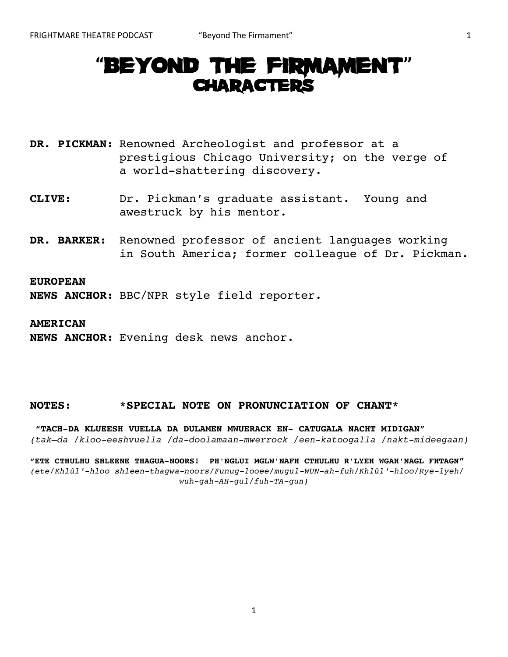# **"**BEYOND THE FIRMAMENT**"**  CHARACTERS

**DR. PICKMAN:** Renowned Archeologist and professor at a prestigious Chicago University; on the verge of a world-shattering discovery.

- **CLIVE:** Dr. Pickman's graduate assistant. Young and awestruck by his mentor.
- **DR. BARKER:** Renowned professor of ancient languages working in South America; former colleague of Dr. Pickman.

#### **EUROPEAN**

**NEWS ANCHOR:** BBC/NPR style field reporter.

**AMERICAN** 

**NEWS ANCHOR:** Evening desk news anchor.

## **NOTES: \*SPECIAL NOTE ON PRONUNCIATION OF CHANT\***

**"TACH-DA KLUEESH VUELLA DA DULAMEN MWUERACK EN- CATUGALA NACHT MIDIGAN"**  *(tak–da /kloo-eeshvuella /da-doolamaan-mwerrock /een-katoogalla /nakt-mideegaan)* 

**"ETE CTHULHU SHLEENE THAGUA-NOORS! PH'NGLUI MGLW'NAFH CTHULHU R'LYEH WGAH'NAGL FHTAGN"**  *(ete/Khlûl′-hloo shleen-thagwa-noors/Funug-looee/mugul-WUN-ah-fuh/Khlûl′-hloo/Rye-lyeh/ wuh-gah-AH-gul/fuh-TA-gun)*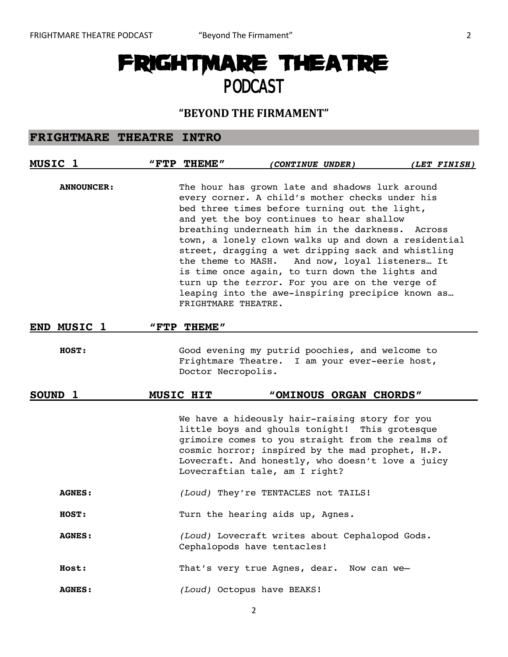# FRIGHTMARE THEATRE PODCAST

## **"BEYOND THE FIRMAMENT"**

## **FRIGHTMARE THEATRE INTRO**

| MUSIC <sub>1</sub> | "FTP THEME"                               | (CONTINUE UNDER)                                                                                                                                                                                                                                                                                                                                                                                                                                                                                                                                             | (LET FINISH) |
|--------------------|-------------------------------------------|--------------------------------------------------------------------------------------------------------------------------------------------------------------------------------------------------------------------------------------------------------------------------------------------------------------------------------------------------------------------------------------------------------------------------------------------------------------------------------------------------------------------------------------------------------------|--------------|
| <b>ANNOUNCER:</b>  | the theme to MASH.<br>FRIGHTMARE THEATRE. | The hour has grown late and shadows lurk around<br>every corner. A child's mother checks under his<br>bed three times before turning out the light,<br>and yet the boy continues to hear shallow<br>breathing underneath him in the darkness. Across<br>town, a lonely clown walks up and down a residential<br>street, dragging a wet dripping sack and whistling<br>And now, loyal listeners It<br>is time once again, to turn down the lights and<br>turn up the terror. For you are on the verge of<br>leaping into the awe-inspiring precipice known as |              |
| END MUSIC 1        | "FTP THEME"                               |                                                                                                                                                                                                                                                                                                                                                                                                                                                                                                                                                              |              |
| HOST:              | Doctor Necropolis.                        | Good evening my putrid poochies, and welcome to<br>Frightmare Theatre. I am your ever-eerie host,                                                                                                                                                                                                                                                                                                                                                                                                                                                            |              |
| SOUND 1            | MUSIC HIT                                 | "OMINOUS ORGAN CHORDS"                                                                                                                                                                                                                                                                                                                                                                                                                                                                                                                                       |              |
|                    |                                           | We have a hideously hair-raising story for you<br>little boys and ghouls tonight! This grotesque<br>grimoire comes to you straight from the realms of<br>cosmic horror; inspired by the mad prophet, H.P.<br>Lovecraft. And honestly, who doesn't love a juicy<br>Lovecraftian tale, am I right?                                                                                                                                                                                                                                                             |              |
| <b>AGNES:</b>      |                                           | (Loud) They're TENTACLES not TAILS!                                                                                                                                                                                                                                                                                                                                                                                                                                                                                                                          |              |
| <b>HOST:</b>       |                                           | Turn the hearing aids up, Agnes.                                                                                                                                                                                                                                                                                                                                                                                                                                                                                                                             |              |
| <b>AGNES:</b>      |                                           | (Loud) Lovecraft writes about Cephalopod Gods.<br>Cephalopods have tentacles!                                                                                                                                                                                                                                                                                                                                                                                                                                                                                |              |
| Host:              |                                           | That's very true Agnes, dear. Now can we-                                                                                                                                                                                                                                                                                                                                                                                                                                                                                                                    |              |
| <b>AGNES:</b>      |                                           | (Loud) Octopus have BEAKS!                                                                                                                                                                                                                                                                                                                                                                                                                                                                                                                                   |              |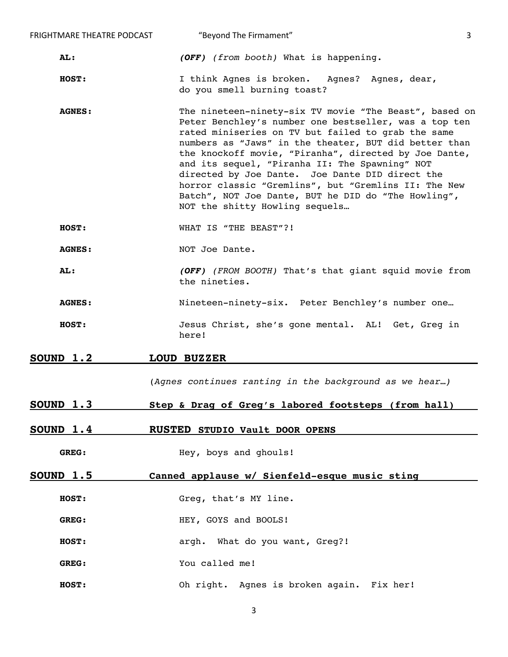| FRIGHTMARE THEATRE PODCAST | "Beyond The Firmament"                                                                                                                                                                                                                                                                                                                                                                                                                                                                                                                        | 3 |  |
|----------------------------|-----------------------------------------------------------------------------------------------------------------------------------------------------------------------------------------------------------------------------------------------------------------------------------------------------------------------------------------------------------------------------------------------------------------------------------------------------------------------------------------------------------------------------------------------|---|--|
| AL:                        | (OFF) (from booth) What is happening.                                                                                                                                                                                                                                                                                                                                                                                                                                                                                                         |   |  |
| HOST:                      | I think Agnes is broken. Agnes? Agnes, dear,<br>do you smell burning toast?                                                                                                                                                                                                                                                                                                                                                                                                                                                                   |   |  |
| <b>AGNES:</b>              | The nineteen-ninety-six TV movie "The Beast", based on<br>Peter Benchley's number one bestseller, was a top ten<br>rated miniseries on TV but failed to grab the same<br>numbers as "Jaws" in the theater, BUT did better than<br>the knockoff movie, "Piranha", directed by Joe Dante,<br>and its sequel, "Piranha II: The Spawning" NOT<br>directed by Joe Dante. Joe Dante DID direct the<br>horror classic "Gremlins", but "Gremlins II: The New<br>Batch", NOT Joe Dante, BUT he DID do "The Howling",<br>NOT the shitty Howling sequels |   |  |
| HOST:                      | WHAT IS "THE BEAST"?!                                                                                                                                                                                                                                                                                                                                                                                                                                                                                                                         |   |  |
| <b>AGNES:</b>              | NOT Joe Dante.                                                                                                                                                                                                                                                                                                                                                                                                                                                                                                                                |   |  |
| AL:                        | (OFF) (FROM BOOTH) That's that giant squid movie from<br>the nineties.                                                                                                                                                                                                                                                                                                                                                                                                                                                                        |   |  |
| <b>AGNES:</b>              | Nineteen-ninety-six. Peter Benchley's number one                                                                                                                                                                                                                                                                                                                                                                                                                                                                                              |   |  |
| HOST:                      | Jesus Christ, she's gone mental. AL! Get, Greg in<br>here!                                                                                                                                                                                                                                                                                                                                                                                                                                                                                    |   |  |
| SOUND 1.2                  | <b>LOUD BUZZER</b>                                                                                                                                                                                                                                                                                                                                                                                                                                                                                                                            |   |  |
|                            | (Agnes continues ranting in the background as we hear)                                                                                                                                                                                                                                                                                                                                                                                                                                                                                        |   |  |
| <b>SOUND 1.3</b>           | Step & Drag of Greg's labored footsteps (from hall)                                                                                                                                                                                                                                                                                                                                                                                                                                                                                           |   |  |
| <b>SOUND 1.4</b>           | <b>RUSTED STUDIO Vault DOOR OPENS</b>                                                                                                                                                                                                                                                                                                                                                                                                                                                                                                         |   |  |
| <b>GREG:</b>               | Hey, boys and ghouls!                                                                                                                                                                                                                                                                                                                                                                                                                                                                                                                         |   |  |
| <u>SOUND 1.5</u>           | Canned applause w/ Sienfeld-esque music sting                                                                                                                                                                                                                                                                                                                                                                                                                                                                                                 |   |  |
| HOST:                      | Greg, that's MY line.                                                                                                                                                                                                                                                                                                                                                                                                                                                                                                                         |   |  |
| GREG:                      | HEY, GOYS and BOOLS!                                                                                                                                                                                                                                                                                                                                                                                                                                                                                                                          |   |  |
| HOST:                      | argh. What do you want, Greg?!                                                                                                                                                                                                                                                                                                                                                                                                                                                                                                                |   |  |
| GREG:                      | You called me!                                                                                                                                                                                                                                                                                                                                                                                                                                                                                                                                |   |  |
| HOST:                      | Oh right. Agnes is broken again. Fix her!                                                                                                                                                                                                                                                                                                                                                                                                                                                                                                     |   |  |
|                            |                                                                                                                                                                                                                                                                                                                                                                                                                                                                                                                                               |   |  |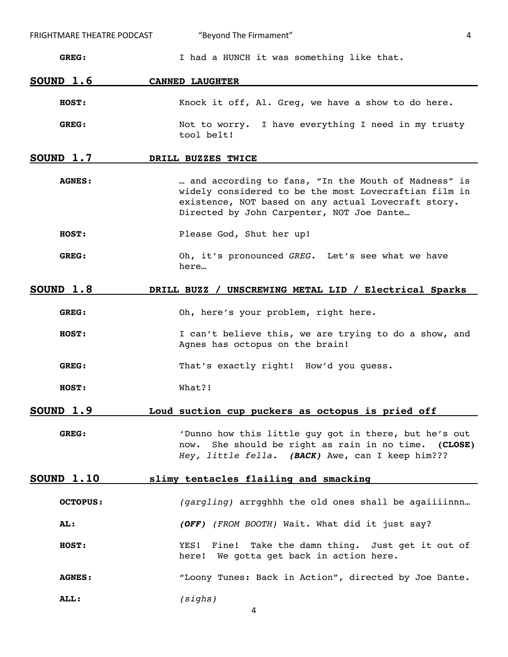| FRIGHTMARE THEATRE PODCAST | "Beyond The Firmament"<br>4                                                                                                                                                                                      |
|----------------------------|------------------------------------------------------------------------------------------------------------------------------------------------------------------------------------------------------------------|
| GREG:                      | I had a HUNCH it was something like that.                                                                                                                                                                        |
| <b>SOUND 1.6</b>           | <b>CANNED LAUGHTER</b>                                                                                                                                                                                           |
| HOST:                      | Knock it off, Al. Greg, we have a show to do here.                                                                                                                                                               |
| GREG:                      | Not to worry. I have everything I need in my trusty<br>tool belt!                                                                                                                                                |
| SOUND 1.7                  | DRILL BUZZES TWICE                                                                                                                                                                                               |
| <b>AGNES:</b>              | and according to fans, "In the Mouth of Madness" is<br>widely considered to be the most Lovecraftian film in<br>existence, NOT based on any actual Lovecraft story.<br>Directed by John Carpenter, NOT Joe Dante |
| HOST:                      | Please God, Shut her up!                                                                                                                                                                                         |
| GREG:                      | Oh, it's pronounced GREG. Let's see what we have<br>here                                                                                                                                                         |
| SOUND 1.8                  | DRILL BUZZ / UNSCREWING METAL LID / Electrical Sparks                                                                                                                                                            |
| GREG:                      | Oh, here's your problem, right here.                                                                                                                                                                             |
| HOST:                      | I can't believe this, we are trying to do a show, and<br>Agnes has octopus on the brain!                                                                                                                         |
| GREG:                      | That's exactly right! How'd you quess.                                                                                                                                                                           |
| <b>HOST:</b>               | What?!                                                                                                                                                                                                           |
| SOUND 1.9                  | Loud suction cup puckers as octopus is pried off                                                                                                                                                                 |
| GREG:                      | 'Dunno how this little guy got in there, but he's out<br>She should be right as rain in no time. (CLOSE)<br>now.<br>Hey, little fella. (BACK) Awe, can I keep him???                                             |
| <u>SOUND 1.10</u>          | slimy tentacles flailing and smacking                                                                                                                                                                            |
| <b>OCTOPUS:</b>            | (gargling) arrgghhh the old ones shall be agaiiiinnn                                                                                                                                                             |
| AL:                        | (OFF) (FROM BOOTH) Wait. What did it just say?                                                                                                                                                                   |
| HOST:                      | Fine! Take the damn thing. Just get it out of<br>YES!<br>We gotta get back in action here.<br>here!                                                                                                              |
| <b>AGNES:</b>              | "Loony Tunes: Back in Action", directed by Joe Dante.                                                                                                                                                            |
| ALL:                       | (sighs)<br>4                                                                                                                                                                                                     |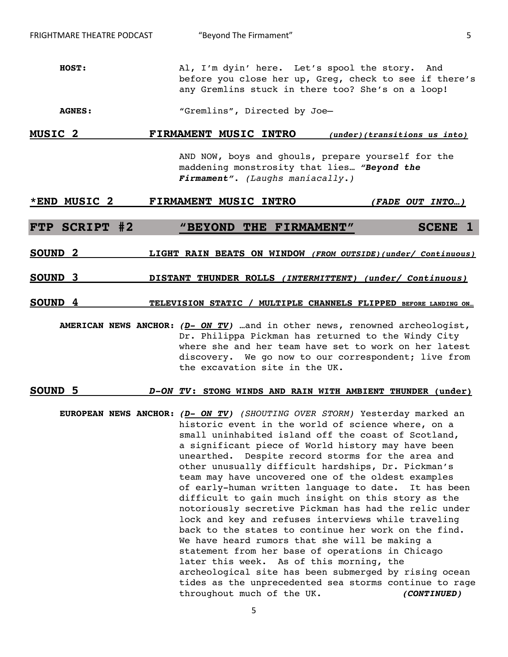- **HOST:** Al, I'm dyin' here. Let's spool the story. And before you close her up, Greg, check to see if there's any Gremlins stuck in there too? She's on a loop!
- AGNES: "Gremlins", Directed by Joe-

## **MUSIC 2 FIRMAMENT MUSIC INTRO (under)(transitions us into)**

AND NOW, boys and ghouls, prepare yourself for the maddening monstrosity that lies… **"Beyond the Firmament".** *(Laughs maniacally.)*

## **\*END MUSIC 2 FIRMAMENT MUSIC INTRO (FADE OUT INTO…)**

## **FTP SCRIPT #2 "BEYOND THE FIRMAMENT" SCENE 1**

## **SOUND 2 LIGHT RAIN BEATS ON WINDOW (FROM OUTSIDE)(under/ Continuous)**

## **SOUND 3 DISTANT THUNDER ROLLS (INTERMITTENT) (under/ Continuous)**

## **SOUND 4** TELEVISION STATIC / MULTIPLE CHANNELS FLIPPED BEFORE LANDING ON...

**AMERICAN NEWS ANCHOR: (D- ON TV)** …and in other news, renowned archeologist, Dr. Philippa Pickman has returned to the Windy City where she and her team have set to work on her latest discovery. We go now to our correspondent; live from the excavation site in the UK.

#### **SOUND 5 D-ON TV: STONG WINDS AND RAIN WITH AMBIENT THUNDER (under)**

**EUROPEAN NEWS ANCHOR: (D- ON TV)** *(SHOUTING OVER STORM)* Yesterday marked an historic event in the world of science where, on a small uninhabited island off the coast of Scotland, a significant piece of World history may have been unearthed. Despite record storms for the area and other unusually difficult hardships, Dr. Pickman's team may have uncovered one of the oldest examples of early-human written language to date. It has been difficult to gain much insight on this story as the notoriously secretive Pickman has had the relic under lock and key and refuses interviews while traveling back to the states to continue her work on the find. We have heard rumors that she will be making a statement from her base of operations in Chicago later this week. As of this morning, the archeological site has been submerged by rising ocean tides as the unprecedented sea storms continue to rage throughout much of the UK. **(CONTINUED)**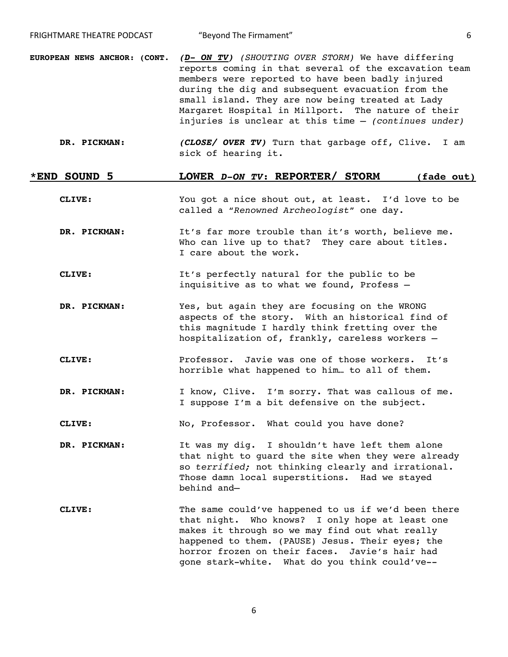- **EUROPEAN NEWS ANCHOR: (CONT. (D- ON TV)** *(SHOUTING OVER STORM)* We have differing reports coming in that several of the excavation team members were reported to have been badly injured during the dig and subsequent evacuation from the small island. They are now being treated at Lady Margaret Hospital in Millport. The nature of their injuries is unclear at this time – *(continues under)*
	- **DR. PICKMAN: (CLOSE/ OVER TV)** Turn that garbage off, Clive. I am sick of hearing it.

## **\*END SOUND 5 LOWER D-ON TV: REPORTER/ STORM (fade out)**

- **CLIVE:** You got a nice shout out, at least. I'd love to be called a "*Renowned Archeologist*" one day.
- **DR. PICKMAN:** It's far more trouble than it's worth, believe me. Who can live up to that? They care about titles. I care about the work.
- **CLIVE:** It's perfectly natural for the public to be inquisitive as to what we found, Profess –
- **DR. PICKMAN:** Yes, but again they are focusing on the WRONG aspects of the story. With an historical find of this magnitude I hardly think fretting over the hospitalization of, frankly, careless workers –
- **CLIVE:** Professor. Javie was one of those workers. It's horrible what happened to him… to all of them.
- **DR. PICKMAN:** I know, Clive. I'm sorry. That was callous of me. I suppose I'm a bit defensive on the subject.
- CLIVE: No, Professor. What could you have done?
- **DR. PICKMAN:** It was my dig. I shouldn't have left them alone that night to guard the site when they were already so *terrified;* not thinking clearly and irrational. Those damn local superstitions. Had we stayed behind and—
- **CLIVE:** The same could've happened to us if we'd been there that night. Who knows? I only hope at least one makes it through so we may find out what really happened to them. (PAUSE) Jesus. Their eyes; the horror frozen on their faces. Javie's hair had gone stark-white. What do you think could've--

6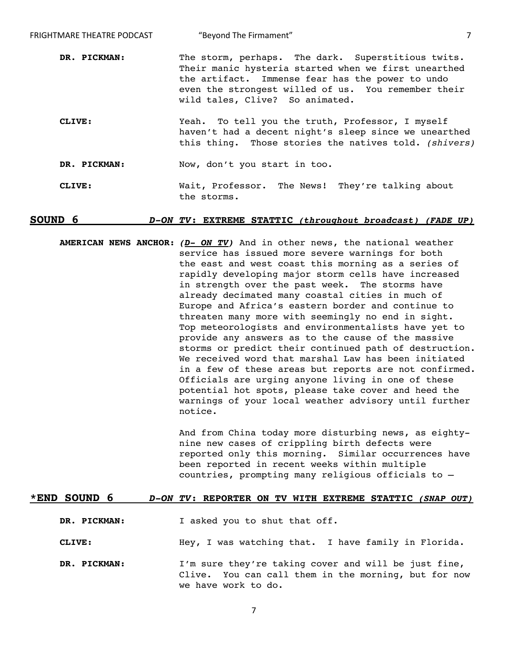| FRIGHTMARE THEATRE PODCAST | "Beyond The Firmament"                                                                                                                                                                                                                                   |  |
|----------------------------|----------------------------------------------------------------------------------------------------------------------------------------------------------------------------------------------------------------------------------------------------------|--|
| DR. PICKMAN:               | The storm, perhaps. The dark. Superstitious twits.<br>Their manic hysteria started when we first unearthed<br>the artifact. Immense fear has the power to undo<br>even the strongest willed of us. You remember their<br>wild tales, Clive? So animated. |  |
| CLIVE:                     | Yeah. To tell you the truth, Professor, I myself<br>haven't had a decent night's sleep since we unearthed<br>this thing. Those stories the natives told. (shivers)                                                                                       |  |
| DR. PICKMAN:               | Now, don't you start in too.                                                                                                                                                                                                                             |  |
| CLIVE:                     | Wait, Professor. The News! They're talking about<br>the storms.                                                                                                                                                                                          |  |

## **SOUND 6 D-ON TV: EXTREME STATTIC (throughout broadcast) (FADE UP)**

**AMERICAN NEWS ANCHOR: (D- ON TV)** And in other news, the national weather service has issued more severe warnings for both the east and west coast this morning as a series of rapidly developing major storm cells have increased in strength over the past week. The storms have already decimated many coastal cities in much of Europe and Africa's eastern border and continue to threaten many more with seemingly no end in sight. Top meteorologists and environmentalists have yet to provide any answers as to the cause of the massive storms or predict their continued path of destruction. We received word that marshal Law has been initiated in a few of these areas but reports are not confirmed. Officials are urging anyone living in one of these potential hot spots, please take cover and heed the warnings of your local weather advisory until further notice.

> And from China today more disturbing news, as eightynine new cases of crippling birth defects were reported only this morning. Similar occurrences have been reported in recent weeks within multiple countries, prompting many religious officials to –

#### **\*END SOUND 6 D-ON TV: REPORTER ON TV WITH EXTREME STATTIC (SNAP OUT)**

**DR. PICKMAN:** I asked you to shut that off.

**CLIVE:** Hey, I was watching that. I have family in Florida.

**DR. PICKMAN:** I'm sure they're taking cover and will be just fine, Clive. You can call them in the morning, but for now we have work to do.

7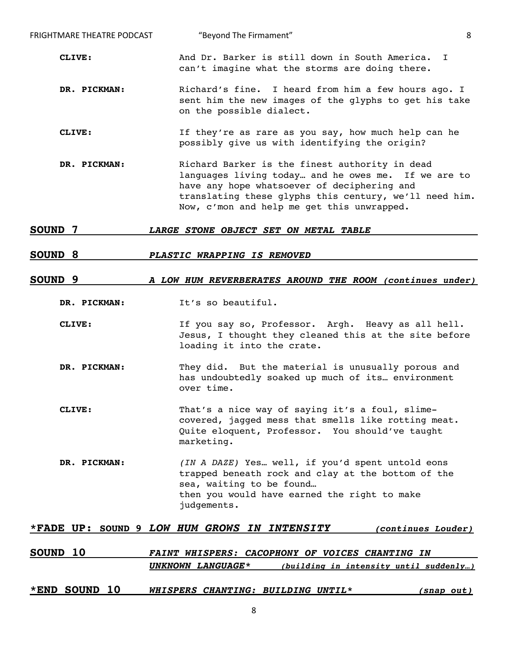| <b>FRIGHTMARE THEATRE PODCAST</b> | 8<br>"Beyond The Firmament"                                                                                                                                                                                                                                  |
|-----------------------------------|--------------------------------------------------------------------------------------------------------------------------------------------------------------------------------------------------------------------------------------------------------------|
| CLIVE:                            | And Dr. Barker is still down in South America. I<br>can't imagine what the storms are doing there.                                                                                                                                                           |
| DR. PICKMAN:                      | Richard's fine. I heard from him a few hours ago. I<br>sent him the new images of the glyphs to get his take<br>on the possible dialect.                                                                                                                     |
| CLIVE:                            | If they're as rare as you say, how much help can he<br>possibly give us with identifying the origin?                                                                                                                                                         |
| DR. PICKMAN:                      | Richard Barker is the finest authority in dead<br>languages living today and he owes me. If we are to<br>have any hope whatsoever of deciphering and<br>translating these glyphs this century, we'll need him.<br>Now, c'mon and help me get this unwrapped. |

#### **SOUND 7 LARGE STONE OBJECT SET ON METAL TABLE**

## **SOUND 8 PLASTIC WRAPPING IS REMOVED**

#### **SOUND 9 A LOW HUM REVERBERATES AROUND THE ROOM (continues under)**

- **DR. PICKMAN:** It's so beautiful.
- **CLIVE:** If you say so, Professor. Argh. Heavy as all hell. Jesus, I thought they cleaned this at the site before loading it into the crate.
- **DR. PICKMAN:** They did. But the material is unusually porous and has undoubtedly soaked up much of its… environment over time.
- **CLIVE:** That's a nice way of saying it's a foul, slimecovered, jagged mess that smells like rotting meat. Quite eloquent, Professor. You should've taught marketing.
- **DR. PICKMAN:** *(IN A DAZE)* Yes… well, if you'd spent untold eons trapped beneath rock and clay at the bottom of the sea, waiting to be found… then you would have earned the right to make judgements.

#### **\*FADE UP: SOUND 9 LOW HUM GROWS IN INTENSITY (continues Louder)**

| SOUND 10 | FAINT WHISPERS: CACOPHONY OF VOICES CHANTING IN |  |  |                                        |
|----------|-------------------------------------------------|--|--|----------------------------------------|
|          | UNKNOWN LANGUAGE*                               |  |  | (building in intensity until suddenly) |
|          |                                                 |  |  |                                        |

## **\*END SOUND 10 WHISPERS CHANTING: BUILDING UNTIL\* (snap out)**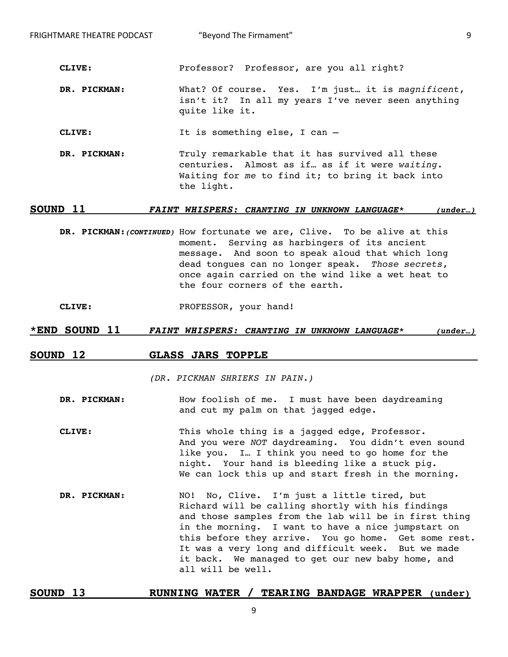**CLIVE:** Professor? Professor, are you all right?

**DR. PICKMAN:** What? Of course. Yes. I'm just… it is *magnificent*, isn't it? In all my years I've never seen anything quite like it.

**CLIVE:** It is something else, I can -

**DR. PICKMAN:** Truly remarkable that it has survived all these centuries. Almost as if… as if it were *waiting*. Waiting for *me* to find it; to bring it back into the light.

## **SOUND 11 FAINT WHISPERS: CHANTING IN UNKNOWN LANGUAGE\* (under…)**

**DR. PICKMAN:(CONTINUED)** How fortunate we are, Clive. To be alive at this moment. Serving as harbingers of its ancient message. And soon to speak aloud that which long dead tongues can no longer speak. *Those secrets*, once again carried on the wind like a wet heat to the four corners of the earth.

**CLIVE:** PROFESSOR, your hand!

## **\*END SOUND 11 FAINT WHISPERS: CHANTING IN UNKNOWN LANGUAGE\* (under…)**

## **SOUND 12 GLASS JARS TOPPLE**

*(DR. PICKMAN SHRIEKS IN PAIN.)* 

## **DR. PICKMAN:** How foolish of me. I must have been daydreaming and cut my palm on that jagged edge.

- **CLIVE:** This whole thing is a jagged edge, Professor. And you were *NOT* daydreaming. You didn't even sound like you. I… I think you need to go home for the night. Your hand is bleeding like a stuck pig. We can lock this up and start fresh in the morning.
- **DR. PICKMAN:** NO! No, Clive. I'm just a little tired, but Richard will be calling shortly with his findings and those samples from the lab will be in first thing in the morning. I want to have a nice jumpstart on this before they arrive. You go home. Get some rest. It was a very long and difficult week. But we made it back. We managed to get our new baby home, and all will be well.

## **SOUND 13 RUNNING WATER / TEARING BANDAGE WRAPPER (under)**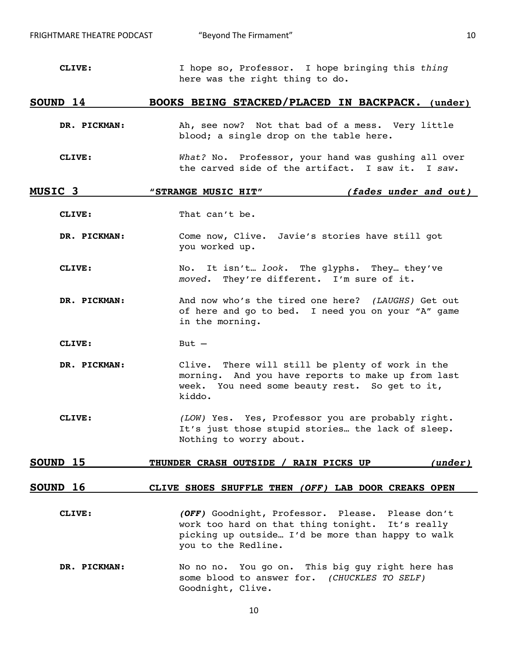FRIGHTMARE THEATRE PODCAST  $\qquad$  "Beyond The Firmament"  $\qquad \qquad 10$ 

**CLIVE:** I hope so, Professor. I hope bringing this *thing* here was the right thing to do.

## **SOUND 14 BOOKS BEING STACKED/PLACED IN BACKPACK. (under)**

- **DR. PICKMAN:** Ah, see now? Not that bad of a mess. Very little blood; a single drop on the table here.
- **CLIVE:** *What?* No. Professor, your hand was gushing all over the carved side of the artifact. I saw it. I *saw*.

## **MUSIC 3 "STRANGE MUSIC HIT" (fades under and out)**

**CLIVE:** That can't be.

**DR. PICKMAN:** Come now, Clive. Javie's stories have still got you worked up.

**CLIVE:** No. It isn't… *look*. The glyphs. They… they've *moved*. They're different. I'm sure of it.

**DR. PICKMAN:** And now who's the tired one here? *(LAUGHS)* Get out of here and go to bed. I need you on your "A" game in the morning.

**CLIVE:** But –

- **DR. PICKMAN:** Clive. There will still be plenty of work in the morning. And you have reports to make up from last week. You need some beauty rest. So get to it, kiddo.
- **CLIVE:** *(LOW)* Yes. Yes, Professor you are probably right. It's just those stupid stories… the lack of sleep. Nothing to worry about.

## **SOUND 15 THUNDER CRASH OUTSIDE / RAIN PICKS UP (under)**

## **SOUND 16 CLIVE SHOES SHUFFLE THEN (OFF) LAB DOOR CREAKS OPEN**

- **CLIVE: (OFF)** Goodnight, Professor. Please. Please don't work too hard on that thing tonight. It's really picking up outside… I'd be more than happy to walk you to the Redline.
- **DR. PICKMAN:** No no no. You go on. This big guy right here has some blood to answer for. *(CHUCKLES TO SELF)* Goodnight, Clive.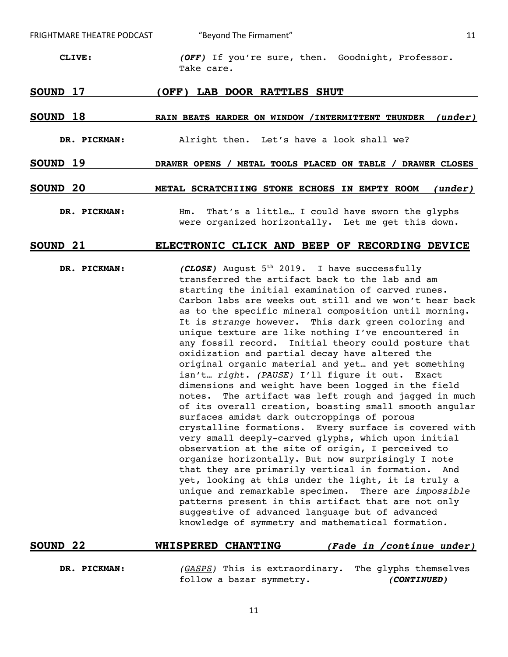FRIGHTMARE THEATRE PODCAST  $\qquad$  "Beyond The Firmament"  $\qquad \qquad$  11

**CLIVE: (OFF)** If you're sure, then. Goodnight, Professor. Take care.

### **SOUND 17 (OFF) LAB DOOR RATTLES SHUT**

## SOUND 18 RAIN BEATS HARDER ON WINDOW /INTERMITTENT THUNDER *(under)*

- **DR. PICKMAN:** Alright then. Let's have a look shall we?
- **SOUND 19 DRAWER OPENS / METAL TOOLS PLACED ON TABLE / DRAWER CLOSES**
- **SOUND 20 METAL SCRATCHIING STONE ECHOES IN EMPTY ROOM (under)**
	- **DR. PICKMAN:** Hm. That's a little… I could have sworn the glyphs were organized horizontally. Let me get this down.

## **SOUND 21 ELECTRONIC CLICK AND BEEP OF RECORDING DEVICE**

**DR. PICKMAN:** (CLOSE) August 5<sup>th</sup> 2019. I have successfully transferred the artifact back to the lab and am starting the initial examination of carved runes. Carbon labs are weeks out still and we won't hear back as to the specific mineral composition until morning. It is *strange* however. This dark green coloring and unique texture are like nothing I've encountered in any fossil record. Initial theory could posture that oxidization and partial decay have altered the original organic material and yet… and yet something isn't… *right. (PAUSE)* I'll figure it out. Exact dimensions and weight have been logged in the field notes. The artifact was left rough and jagged in much of its overall creation, boasting small smooth angular surfaces amidst dark outcroppings of porous crystalline formations. Every surface is covered with very small deeply-carved glyphs, which upon initial observation at the site of origin, I perceived to organize horizontally. But now surprisingly I note that they are primarily vertical in formation. And yet, looking at this under the light, it is truly a unique and remarkable specimen. There are *impossible* patterns present in this artifact that are not only suggestive of advanced language but of advanced knowledge of symmetry and mathematical formation.

| <b>SOUND 22</b> | <b>WHISPERED CHANTING</b> |                                                      | (Fade in /continue under) |  |
|-----------------|---------------------------|------------------------------------------------------|---------------------------|--|
|                 |                           |                                                      |                           |  |
| DR. PICKMAN:    |                           | (GASPS) This is extraordinary. The glyphs themselves |                           |  |

follow a bazar symmetry. **(CONTINUED)**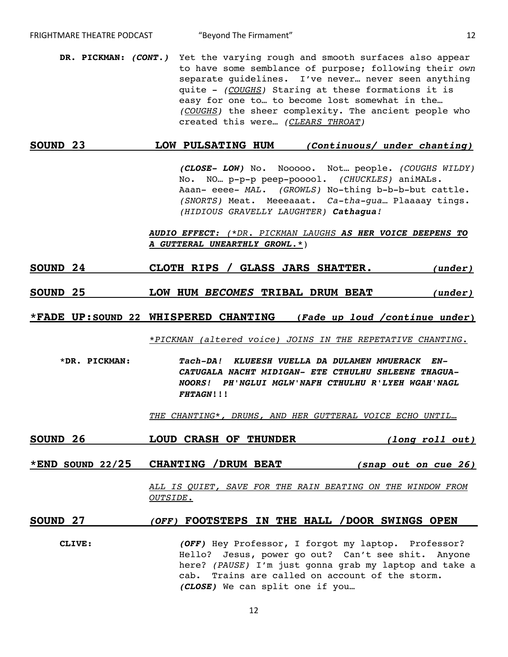**DR. PICKMAN: (CONT.)** Yet the varying rough and smooth surfaces also appear to have some semblance of purpose; following their *own* separate guidelines. I've never… never seen anything quite - *(COUGHS)* Staring at these formations it is easy for one to… to become lost somewhat in the… *(COUGHS)* the sheer complexity. The ancient people who created this were… *(CLEARS THROAT)*

## **SOUND 23 LOW PULSATING HUM (Continuous/ under chanting)**

**(CLOSE- LOW)** No. Nooooo. Not… people. *(COUGHS WILDY)* No. NO… p-p-p peep-pooool. *(CHUCKLES)* aniMALs. Aaan- eeee- *MAL*. *(GROWLS)* No-thing b-b-b-but cattle. *(SNORTS)* Meat. Meeeaaat. *Ca-tha-gua*… Plaaaay tings. *(HIDIOUS GRAVELLY LAUGHTER)* **Cathagua***!* 

## **AUDIO EFFECT:** *(\*DR. PICKMAN LAUGHS* **AS HER VOICE DEEPENS TO A GUTTERAL UNEARTHLY GROWL.\***)

- **SOUND 24 CLOTH RIPS / GLASS JARS SHATTER. (under)**
- **SOUND 25 LOW HUM BECOMES TRIBAL DRUM BEAT (under)**

**\*FADE UP:SOUND 22 WHISPERED CHANTING (Fade up loud /continue under)**

*\*PICKMAN (altered voice) JOINS IN THE REPETATIVE CHANTING.* 

**\*DR. PICKMAN: Tach-DA! KLUEESH VUELLA DA DULAMEN MWUERACK EN-CATUGALA NACHT MIDIGAN- ETE CTHULHU SHLEENE THAGUA-NOORS! PH'NGLUI MGLW'NAFH CTHULHU R'LYEH WGAH'NAGL FHTAGN!!!**

*THE CHANTING\*, DRUMS, AND HER GUTTERAL VOICE ECHO UNTIL…*

- **SOUND 26 LOUD CRASH OF THUNDER (long roll out)**
- **\*END SOUND 22/25 CHANTING /DRUM BEAT (snap out on cue 26)**

*ALL IS QUIET, SAVE FOR THE RAIN BEATING ON THE WINDOW FROM OUTSIDE.* 

## **SOUND 27 (OFF) FOOTSTEPS IN THE HALL /DOOR SWINGS OPEN**

**CLIVE: (OFF)** Hey Professor, I forgot my laptop. Professor? Hello? Jesus, power go out? Can't see shit. Anyone here? *(PAUSE)* I'm just gonna grab my laptop and take a cab. Trains are called on account of the storm. **(CLOSE)** We can split one if you…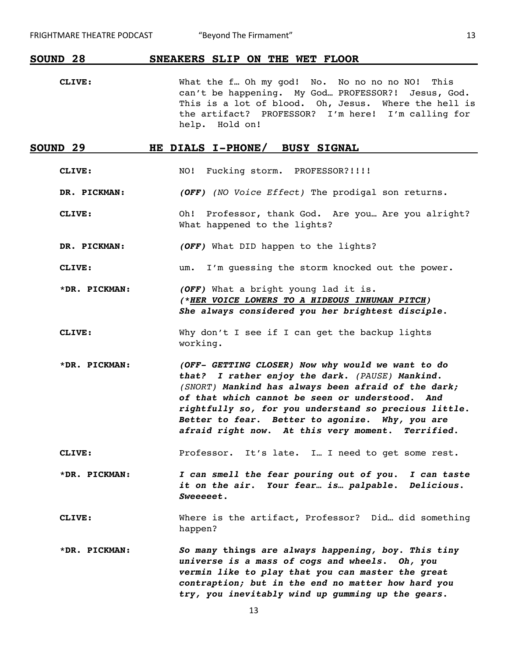## **SOUND 28 SNEAKERS SLIP ON THE WET FLOOR**

**CLIVE:** What the f… Oh my god! No. No no no no NO! This can't be happening. My God… PROFESSOR?! Jesus, God. This is a lot of blood. Oh, Jesus. Where the hell is the artifact? PROFESSOR? I'm here! I'm calling for help. Hold on!

## **SOUND 29 HE DIALS I-PHONE/ BUSY SIGNAL**

**CLIVE:** NO! Fucking storm. PROFESSOR?!!!!

- **DR. PICKMAN: (OFF)** *(NO Voice Effect)* The prodigal son returns.
- **CLIVE:** Oh! Professor, thank God. Are you… Are you alright? What happened to the lights?
- **DR. PICKMAN: (OFF)** What DID happen to the lights?
- **CLIVE:** um. I'm guessing the storm knocked out the power.

**\*DR. PICKMAN: (OFF)** What a bright young lad it is. **(\*HER VOICE LOWERS TO A HIDEOUS INHUMAN PITCH) She always considered you her brightest disciple.** 

- **CLIVE:** Why don't I see if I can get the backup lights working.
- **\*DR. PICKMAN: (OFF- GETTING CLOSER) Now why would we want to do that? I rather enjoy the dark.** *(PAUSE)* **Mankind.**  *(SNORT)* **Mankind has always been afraid of the dark; of that which cannot be seen or understood. And rightfully so, for you understand so precious little. Better to fear. Better to agonize. Why, you are afraid right now. At this very moment. Terrified.**
- **CLIVE:** Professor. It's late. I… I need to get some rest.

**\*DR. PICKMAN: I can smell the fear pouring out of you. I can taste it on the air. Your fear… is… palpable. Delicious. Sweeeeet.**

**CLIVE:** Where is the artifact, Professor? Did… did something happen?

**\*DR. PICKMAN: So many things are always happening, boy. This tiny universe is a mass of cogs and wheels. Oh, you vermin like to play that you can master the great contraption; but in the end no matter how hard you try, you inevitably wind up gumming up the gears.**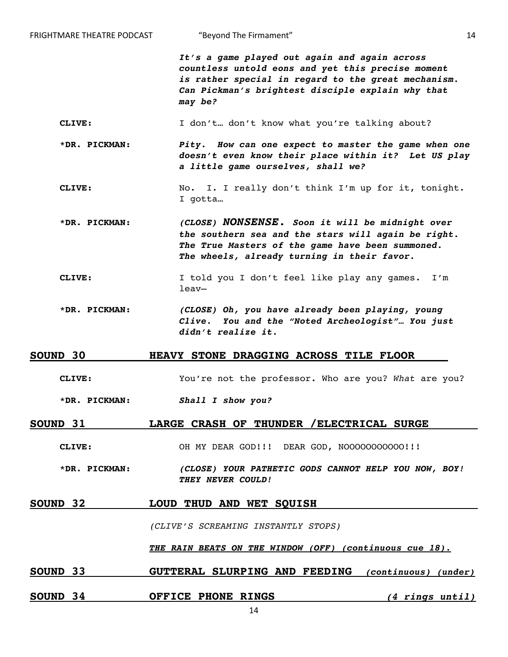| FRIGHTMARE THEATRE PODCAST | "Beyond The Firmament"                                                                                                                                                                                                    | 14 |
|----------------------------|---------------------------------------------------------------------------------------------------------------------------------------------------------------------------------------------------------------------------|----|
|                            | It's a game played out again and again across<br>countless untold eons and yet this precise moment<br>is rather special in regard to the great mechanism.<br>Can Pickman's brightest disciple explain why that<br>may be? |    |
| CLIVE:                     | I don't don't know what you're talking about?                                                                                                                                                                             |    |
| *DR. PICKMAN:              | Pity. How can one expect to master the game when one<br>doesn't even know their place within it? Let US play<br>a little game ourselves, shall we?                                                                        |    |
| CLIVE:                     | No. I. I really don't think I'm up for it, tonight.<br>I gotta                                                                                                                                                            |    |
| *DR. PICKMAN:              | (CLOSE) NONSENSE. Soon it will be midnight over<br>the southern sea and the stars will again be right.<br>The True Masters of the game have been summoned.<br>The wheels, already turning in their favor.                 |    |
| CLIVE:                     | I told you I don't feel like play any games. I'm<br>$leav-$                                                                                                                                                               |    |
| *DR. PICKMAN:              | (CLOSE) Oh, you have already been playing, young<br>Clive. You and the "Noted Archeologist" You just<br>didn't realize it.                                                                                                |    |
| <b>SOUND 30</b>            | HEAVY STONE DRAGGING ACROSS TILE FLOOR                                                                                                                                                                                    |    |
| CLIVE:                     | You're not the professor. Who are you? What are you?                                                                                                                                                                      |    |
| *DR. PICKMAN:              | Shall I show you?                                                                                                                                                                                                         |    |
| <b>SOUND 31</b>            | LARGE CRASH OF THUNDER / ELECTRICAL SURGE                                                                                                                                                                                 |    |
| CLIVE:                     | OH MY DEAR GOD!!! DEAR GOD, NOOOOOOOOOOO!!!                                                                                                                                                                               |    |
| *DR. PICKMAN:              | (CLOSE) YOUR PATHETIC GODS CANNOT HELP YOU NOW, BOY!<br>THEY NEVER COULD!                                                                                                                                                 |    |
| <b>SOUND 32</b>            | LOUD THUD AND WET SQUISH                                                                                                                                                                                                  |    |
|                            | (CLIVE'S SCREAMING INSTANTLY STOPS)                                                                                                                                                                                       |    |
|                            | THE RAIN BEATS ON THE WINDOW (OFF) (continuous cue 18).                                                                                                                                                                   |    |
| <b>SOUND 33</b>            | GUTTERAL SLURPING AND FEEDING (continuous) (under)                                                                                                                                                                        |    |
|                            |                                                                                                                                                                                                                           |    |

**SOUND 34 OFFICE PHONE RINGS (4 rings until)**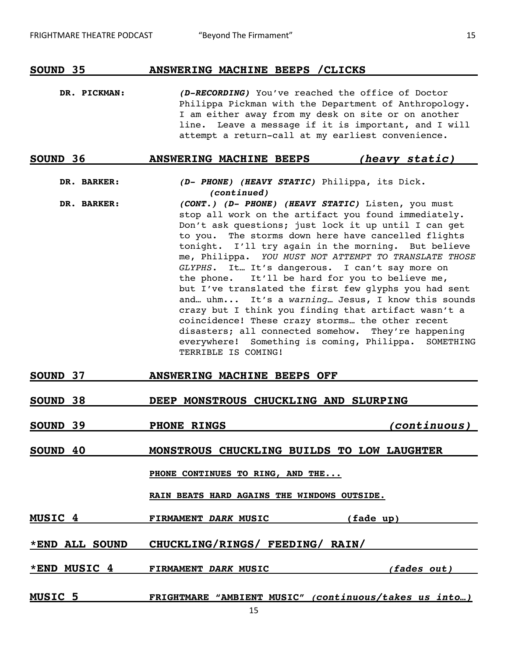## **SOUND 35 ANSWERING MACHINE BEEPS /CLICKS**

**DR. PICKMAN: (D-RECORDING)** You've reached the office of Doctor Philippa Pickman with the Department of Anthropology. I am either away from my desk on site or on another line. Leave a message if it is important, and I will attempt a return-call at my earliest convenience.

## **SOUND 36 ANSWERING MACHINE BEEPS (heavy static)**

## **DR. BARKER: (D- PHONE) (HEAVY STATIC)** Philippa, its Dick. **(continued)**

- **DR. BARKER: (CONT.) (D- PHONE) (HEAVY STATIC)** Listen, you must stop all work on the artifact you found immediately. Don't ask questions; just lock it up until I can get to you. The storms down here have cancelled flights tonight. I'll try again in the morning. But believe me, Philippa. *YOU MUST NOT ATTEMPT TO TRANSLATE THOSE GLYPHS.* It… It's dangerous. I can't say more on the phone. It'll be hard for you to believe me, but I've translated the first few glyphs you had sent and… uhm... It's a *warning*… Jesus, I know this sounds crazy but I think you finding that artifact wasn't a coincidence! These crazy storms… the other recent disasters; all connected somehow. They're happening everywhere! Something is coming, Philippa. SOMETHING TERRIBLE IS COMING!
- **SOUND 37 ANSWERING MACHINE BEEPS OFF**

## **SOUND 38 DEEP MONSTROUS CHUCKLING AND SLURPING**

**SOUND 39 PHONE RINGS (continuous)**

## **SOUND 40 MONSTROUS CHUCKLING BUILDS TO LOW LAUGHTER**

**PHONE CONTINUES TO RING, AND THE...**

**RAIN BEATS HARD AGAINS THE WINDOWS OUTSIDE.**

**MUSIC 4 FIRMAMENT DARK MUSIC (fade up)** 

## **\*END ALL SOUND CHUCKLING/RINGS/ FEEDING/ RAIN/**

**\*END MUSIC 4 FIRMAMENT DARK MUSIC (fades out)**

**MUSIC 5 FRIGHTMARE "AMBIENT MUSIC" (continuous/takes us into…)**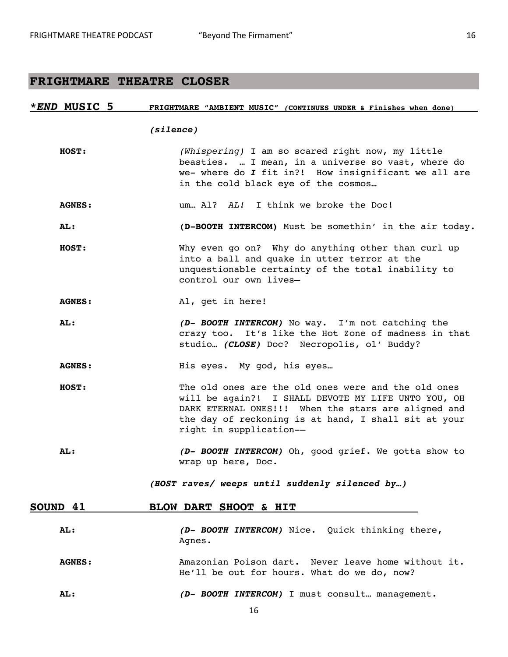# **FRIGHTMARE THEATRE CLOSER**

| <i>*END</i> MUSIC 5 | FRIGHTMARE "AMBIENT MUSIC" (CONTINUES UNDER & Finishes when done)                                                                                                                                                                                    |
|---------------------|------------------------------------------------------------------------------------------------------------------------------------------------------------------------------------------------------------------------------------------------------|
|                     | (silence)                                                                                                                                                                                                                                            |
| HOST:               | (Whispering) I am so scared right now, my little<br>beasties.  I mean, in a universe so vast, where do<br>we- where do I fit in?! How insignificant we all are<br>in the cold black eye of the cosmos                                                |
| <b>AGNES:</b>       | um Al? AL! I think we broke the Doc!                                                                                                                                                                                                                 |
| AL:                 | (D-BOOTH INTERCOM) Must be somethin' in the air today.                                                                                                                                                                                               |
| HOST:               | Why even go on? Why do anything other than curl up<br>into a ball and quake in utter terror at the<br>unquestionable certainty of the total inability to<br>control our own lives-                                                                   |
| <b>AGNES:</b>       | Al, get in here!                                                                                                                                                                                                                                     |
| AL:                 | (D- BOOTH INTERCOM) No way. I'm not catching the<br>crazy too. It's like the Hot Zone of madness in that<br>studio (CLOSE) Doc? Necropolis, ol' Buddy?                                                                                               |
| <b>AGNES:</b>       | His eyes. My god, his eyes                                                                                                                                                                                                                           |
| <b>HOST:</b>        | The old ones are the old ones were and the old ones<br>will be again?! I SHALL DEVOTE MY LIFE UNTO YOU, OH<br>DARK ETERNAL ONES!!! When the stars are aligned and<br>the day of reckoning is at hand, I shall sit at your<br>right in supplication-- |
| <b>AL:</b>          | (D- BOOTH INTERCOM) Oh, good grief. We gotta show to<br>wrap up here, Doc.                                                                                                                                                                           |
|                     | (HOST raves/ weeps until suddenly silenced by)                                                                                                                                                                                                       |
| SOUND 41            | BLOW DART SHOOT & HIT                                                                                                                                                                                                                                |
| AL:                 | (D- BOOTH INTERCOM) Nice. Quick thinking there,<br>Agnes.                                                                                                                                                                                            |
| <b>AGNES:</b>       | Amazonian Poison dart. Never leave home without it.<br>He'll be out for hours. What do we do, now?                                                                                                                                                   |
| AL:                 | (D- BOOTH INTERCOM) I must consult management.                                                                                                                                                                                                       |
|                     | 16                                                                                                                                                                                                                                                   |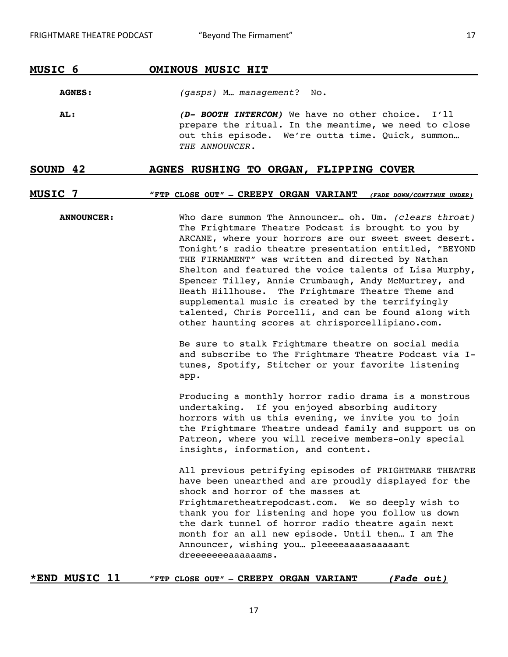## **MUSIC 6 OMINOUS MUSIC HIT**

**AGNES:** *(gasps)* M… *management*? No.

**AL: (D- BOOTH INTERCOM)** We have no other choice. I'll prepare the ritual. In the meantime, we need to close out this episode. We're outta time. Quick, summon… *THE ANNOUNCER*.

## SOUND 42 **AGNES RUSHING TO ORGAN, FLIPPING COVER**

## **MUSIC 7 "FTP CLOSE OUT" – CREEPY ORGAN VARIANT (FADE DOWN/CONTINUE UNDER)**

**ANNOUNCER:** Who dare summon The Announcer… oh. Um. *(clears throat)*  The Frightmare Theatre Podcast is brought to you by ARCANE, where your horrors are our sweet sweet desert. Tonight's radio theatre presentation entitled, "BEYOND THE FIRMAMENT" was written and directed by Nathan Shelton and featured the voice talents of Lisa Murphy, Spencer Tilley, Annie Crumbaugh, Andy McMurtrey, and Heath Hillhouse. The Frightmare Theatre Theme and supplemental music is created by the terrifyingly talented, Chris Porcelli, and can be found along with other haunting scores at chrisporcellipiano.com. Be sure to stalk Frightmare theatre on social media and subscribe to The Frightmare Theatre Podcast via Itunes, Spotify, Stitcher or your favorite listening app. Producing a monthly horror radio drama is a monstrous undertaking. If you enjoyed absorbing auditory

horrors with us this evening, we invite you to join the Frightmare Theatre undead family and support us on Patreon, where you will receive members-only special insights, information, and content.

All previous petrifying episodes of FRIGHTMARE THEATRE have been unearthed and are proudly displayed for the shock and horror of the masses at Frightmaretheatrepodcast.com. We so deeply wish to thank you for listening and hope you follow us down the dark tunnel of horror radio theatre again next month for an all new episode. Until then… I am The Announcer, wishing you… pleeeeaaaasaaaaant dreeeeeeeaaaaaams.

## **\*END MUSIC 11 "FTP CLOSE OUT" – CREEPY ORGAN VARIANT (Fade out)**